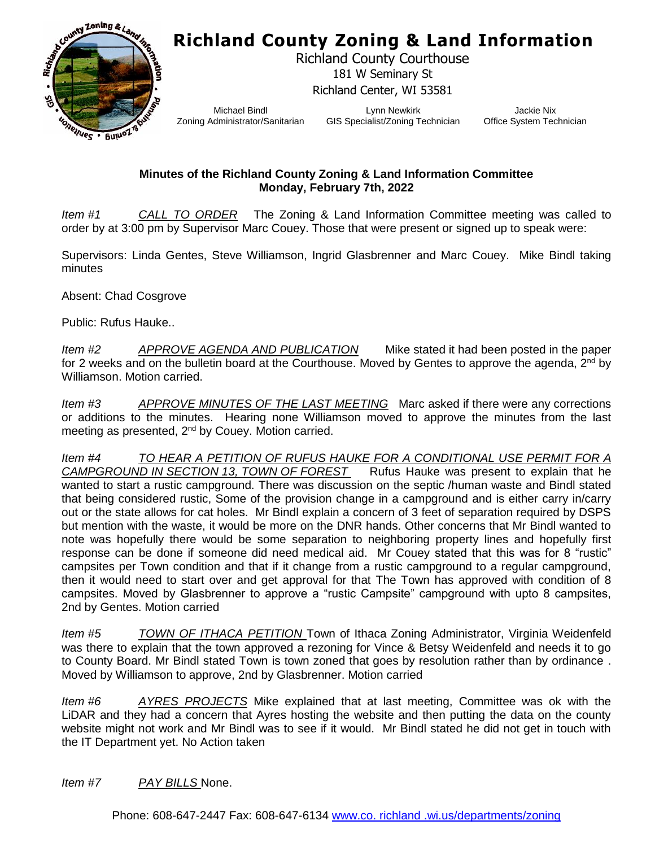## **Richland County Zoning & Land Information**



Richland County Courthouse 181 W Seminary St Richland Center, WI 53581

Michael Bindl Zoning Administrator/Sanitarian

Lynn Newkirk GIS Specialist/Zoning Technician

Jackie Nix Office System Technician

## **Minutes of the Richland County Zoning & Land Information Committee Monday, February 7th, 2022**

*Item #1 CALL TO ORDER* The Zoning & Land Information Committee meeting was called to order by at 3:00 pm by Supervisor Marc Couey. Those that were present or signed up to speak were:

Supervisors: Linda Gentes, Steve Williamson, Ingrid Glasbrenner and Marc Couey. Mike Bindl taking minutes

Absent: Chad Cosgrove

Public: Rufus Hauke..

*Item #2 APPROVE AGENDA AND PUBLICATION* Mike stated it had been posted in the paper for 2 weeks and on the bulletin board at the Courthouse. Moved by Gentes to approve the agenda,  $2^{nd}$  by Williamson. Motion carried.

*Item #3 APPROVE MINUTES OF THE LAST MEETING* Marc asked if there were any corrections or additions to the minutes. Hearing none Williamson moved to approve the minutes from the last meeting as presented, 2<sup>nd</sup> by Couey. Motion carried.

*Item #4 TO HEAR A PETITION OF RUFUS HAUKE FOR A CONDITIONAL USE PERMIT FOR A CAMPGROUND IN SECTION 13, TOWN OF FOREST* Rufus Hauke was present to explain that he wanted to start a rustic campground. There was discussion on the septic /human waste and Bindl stated that being considered rustic, Some of the provision change in a campground and is either carry in/carry out or the state allows for cat holes. Mr Bindl explain a concern of 3 feet of separation required by DSPS but mention with the waste, it would be more on the DNR hands. Other concerns that Mr Bindl wanted to note was hopefully there would be some separation to neighboring property lines and hopefully first response can be done if someone did need medical aid. Mr Couey stated that this was for 8 "rustic" campsites per Town condition and that if it change from a rustic campground to a regular campground, then it would need to start over and get approval for that The Town has approved with condition of 8 campsites. Moved by Glasbrenner to approve a "rustic Campsite" campground with upto 8 campsites, 2nd by Gentes. Motion carried

*Item #5 TOWN OF ITHACA PETITION* Town of Ithaca Zoning Administrator, Virginia Weidenfeld was there to explain that the town approved a rezoning for Vince & Betsy Weidenfeld and needs it to go to County Board. Mr Bindl stated Town is town zoned that goes by resolution rather than by ordinance . Moved by Williamson to approve, 2nd by Glasbrenner. Motion carried

*Item #6 AYRES PROJECTS* Mike explained that at last meeting, Committee was ok with the LiDAR and they had a concern that Ayres hosting the website and then putting the data on the county website might not work and Mr Bindl was to see if it would. Mr Bindl stated he did not get in touch with the IT Department yet. No Action taken

*Item #7 PAY BILLS* None.